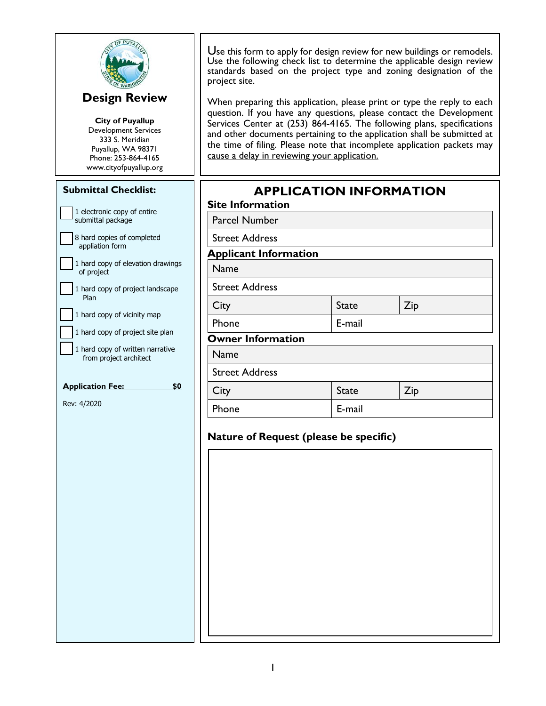| <b>Design Review</b><br><b>City of Puyallup</b><br><b>Development Services</b><br>333 S. Meridian<br>Puyallup, WA 98371<br>Phone: 253-864-4165<br>www.cityofpuyallup.org | Use this form to apply for design review for new buildings or remodels.<br>Use the following check list to determine the applicable design review<br>standards based on the project type and zoning designation of the<br>project site.<br>When preparing this application, please print or type the reply to each<br>question. If you have any questions, please contact the Development<br>Services Center at (253) 864-4165. The following plans, specifications<br>and other documents pertaining to the application shall be submitted at<br>the time of filing. Please note that incomplete application packets may<br>cause a delay in reviewing your application. |                                        |     |  |  |
|--------------------------------------------------------------------------------------------------------------------------------------------------------------------------|---------------------------------------------------------------------------------------------------------------------------------------------------------------------------------------------------------------------------------------------------------------------------------------------------------------------------------------------------------------------------------------------------------------------------------------------------------------------------------------------------------------------------------------------------------------------------------------------------------------------------------------------------------------------------|----------------------------------------|-----|--|--|
| <b>Submittal Checklist:</b>                                                                                                                                              |                                                                                                                                                                                                                                                                                                                                                                                                                                                                                                                                                                                                                                                                           | <b>APPLICATION INFORMATION</b>         |     |  |  |
| 1 electronic copy of entire                                                                                                                                              | <b>Site Information</b>                                                                                                                                                                                                                                                                                                                                                                                                                                                                                                                                                                                                                                                   |                                        |     |  |  |
| submittal package<br>8 hard copies of completed                                                                                                                          | <b>Parcel Number</b>                                                                                                                                                                                                                                                                                                                                                                                                                                                                                                                                                                                                                                                      |                                        |     |  |  |
| appliation form                                                                                                                                                          | <b>Street Address</b><br><b>Applicant Information</b>                                                                                                                                                                                                                                                                                                                                                                                                                                                                                                                                                                                                                     |                                        |     |  |  |
| 1 hard copy of elevation drawings<br>of project                                                                                                                          | Name                                                                                                                                                                                                                                                                                                                                                                                                                                                                                                                                                                                                                                                                      |                                        |     |  |  |
| 1 hard copy of project landscape                                                                                                                                         | <b>Street Address</b>                                                                                                                                                                                                                                                                                                                                                                                                                                                                                                                                                                                                                                                     |                                        |     |  |  |
| Plan                                                                                                                                                                     | City                                                                                                                                                                                                                                                                                                                                                                                                                                                                                                                                                                                                                                                                      | <b>State</b>                           | Zip |  |  |
| 1 hard copy of vicinity map                                                                                                                                              | Phone                                                                                                                                                                                                                                                                                                                                                                                                                                                                                                                                                                                                                                                                     | E-mail                                 |     |  |  |
| 1 hard copy of project site plan                                                                                                                                         | <b>Owner Information</b>                                                                                                                                                                                                                                                                                                                                                                                                                                                                                                                                                                                                                                                  |                                        |     |  |  |
| 1 hard copy of written narrative<br>from project architect                                                                                                               | <b>Name</b>                                                                                                                                                                                                                                                                                                                                                                                                                                                                                                                                                                                                                                                               |                                        |     |  |  |
|                                                                                                                                                                          | <b>Street Address</b>                                                                                                                                                                                                                                                                                                                                                                                                                                                                                                                                                                                                                                                     |                                        |     |  |  |
| <b>Application Fee:</b><br>\$0                                                                                                                                           | City                                                                                                                                                                                                                                                                                                                                                                                                                                                                                                                                                                                                                                                                      | <b>State</b>                           | Zip |  |  |
| Rev: 4/2020                                                                                                                                                              | Phone                                                                                                                                                                                                                                                                                                                                                                                                                                                                                                                                                                                                                                                                     | E-mail                                 |     |  |  |
|                                                                                                                                                                          |                                                                                                                                                                                                                                                                                                                                                                                                                                                                                                                                                                                                                                                                           | Nature of Request (please be specific) |     |  |  |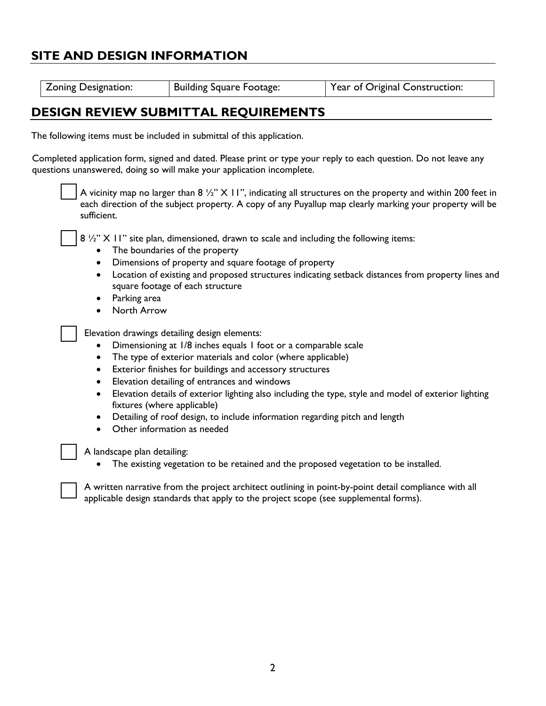## **SITE AND DESIGN INFORMATION**

| Zoning Designation:<br><b>Building Square Footage:</b><br>Year of Original Construction: |
|------------------------------------------------------------------------------------------|
|------------------------------------------------------------------------------------------|

## **DESIGN REVIEW SUBMITTAL REQUIREMENTS**

The following items must be included in submittal of this application.

Completed application form, signed and dated. Please print or type your reply to each question. Do not leave any questions unanswered, doing so will make your application incomplete.

> A vicinity map no larger than  $8\frac{1}{2}$ " X 11", indicating all structures on the property and within 200 feet in each direction of the subject property. A copy of any Puyallup map clearly marking your property will be sufficient.

 $8\frac{1}{2}$ " X 11" site plan, dimensioned, drawn to scale and including the following items:

- The boundaries of the property
- Dimensions of property and square footage of property
- Location of existing and proposed structures indicating setback distances from property lines and square footage of each structure
- Parking area
- North Arrow

Elevation drawings detailing design elements:

- Dimensioning at 1/8 inches equals 1 foot or a comparable scale
- The type of exterior materials and color (where applicable)
- Exterior finishes for buildings and accessory structures
- Elevation detailing of entrances and windows
- Elevation details of exterior lighting also including the type, style and model of exterior lighting fixtures (where applicable)
- Detailing of roof design, to include information regarding pitch and length
- Other information as needed

A landscape plan detailing:

The existing vegetation to be retained and the proposed vegetation to be installed.

A written narrative from the project architect outlining in point-by-point detail compliance with all applicable design standards that apply to the project scope (see supplemental forms).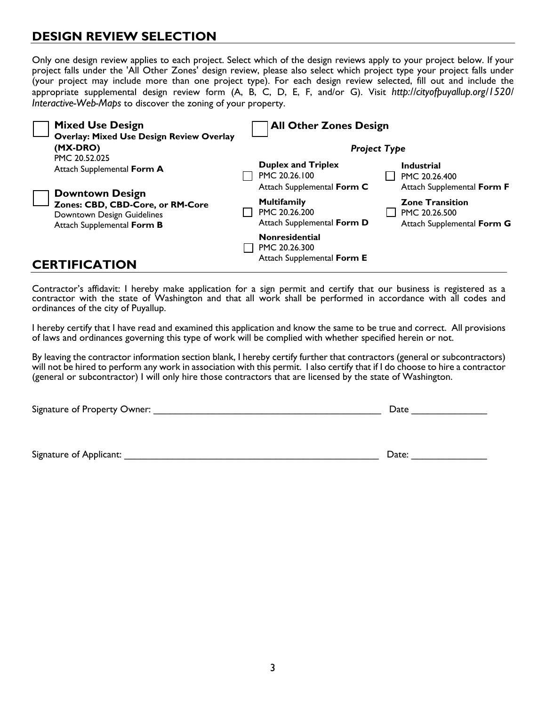## **DESIGN REVIEW SELECTION**

Only one design review applies to each project. Select which of the design reviews apply to your project below. If your project falls under the 'All Other Zones' design review, please also select which project type your project falls under (your project may include more than one project type). For each design review selected, fill out and include the appropriate supplemental design review form (A, B, C, D, E, F, and/or G). Visit *http://cityofpuyallup.org/1520/ Interactive-Web-Maps* to discover the zoning of your property.

| <b>Mixed Use Design</b><br><b>Overlay: Mixed Use Design Review Overlay</b>                                |  | <b>All Other Zones Design</b>                                                                  |  |                                                                                            |
|-----------------------------------------------------------------------------------------------------------|--|------------------------------------------------------------------------------------------------|--|--------------------------------------------------------------------------------------------|
| (MX-DRO)                                                                                                  |  | <b>Project Type</b>                                                                            |  |                                                                                            |
| PMC 20.52.025<br>Attach Supplemental Form A<br><b>Downtown Design</b><br>Zones: CBD, CBD-Core, or RM-Core |  | <b>Duplex and Triplex</b><br>PMC 20.26.100<br>Attach Supplemental Form C<br><b>Multifamily</b> |  | <b>Industrial</b><br>PMC 20.26.400<br>Attach Supplemental Form F<br><b>Zone Transition</b> |
| Downtown Design Guidelines<br>Attach Supplemental Form B                                                  |  | PMC 20.26.200<br>Attach Supplemental Form D<br><b>Nonresidential</b><br>PMC 20.26.300          |  | PMC 20.26.500<br>Attach Supplemental Form G                                                |
| <b>CERTIFICATION</b>                                                                                      |  | Attach Supplemental Form E                                                                     |  |                                                                                            |

Contractor's affidavit: I hereby make application for a sign permit and certify that our business is registered as a contractor with the state of Washington and that all work shall be performed in accordance with all codes and ordinances of the city of Puyallup.

I hereby certify that I have read and examined this application and know the same to be true and correct. All provisions of laws and ordinances governing this type of work will be complied with whether specified herein or not.

By leaving the contractor information section blank, I hereby certify further that contractors (general or subcontractors) will not be hired to perform any work in association with this permit. I also certify that if I do choose to hire a contractor (general or subcontractor) I will only hire those contractors that are licensed by the state of Washington.

| Signature of Property Owner: | Date |
|------------------------------|------|
|                              |      |

Signature of Applicant: \_\_\_\_\_\_\_\_\_\_\_\_\_\_\_\_\_\_\_\_\_\_\_\_\_\_\_\_\_\_\_\_\_\_\_\_\_\_\_\_\_\_\_\_\_\_\_ Date: \_\_\_\_\_\_\_\_\_\_\_\_\_\_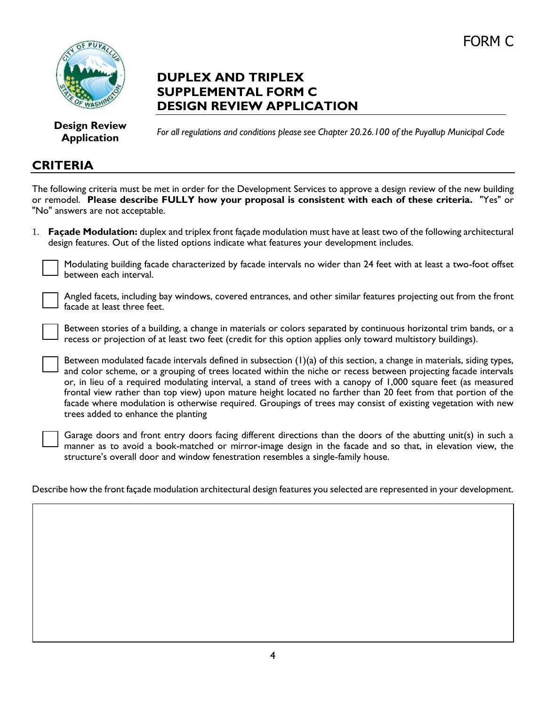# FORM C



## **DUPLEX AND TRIPLEX SUPPLEMENTAL FORM C DESIGN REVIEW APPLICATION**

**Design Review Application**

*For all regulations and conditions please see Chapter 20.26.100 of the Puyallup Municipal Code*

#### **CRITERIA**

The following criteria must be met in order for the Development Services to approve a design review of the new building or remodel. **Please describe FULLY how your proposal is consistent with each of these criteria.** "Yes" or "No" answers are not acceptable.

1. **Façade Modulation:** duplex and triplex front façade modulation must have at least two of the following architectural design features. Out of the listed options indicate what features your development includes.



Modulating building facade characterized by facade intervals no wider than 24 feet with at least a two-foot offset between each interval.

Angled facets, including bay windows, covered entrances, and other similar features projecting out from the front facade at least three feet.

Between stories of a building, a change in materials or colors separated by continuous horizontal trim bands, or a recess or projection of at least two feet (credit for this option applies only toward multistory buildings).

Between modulated facade intervals defined in subsection (1)(a) of this section, a change in materials, siding types, and color scheme, or a grouping of trees located within the niche or recess between projecting facade intervals or, in lieu of a required modulating interval, a stand of trees with a canopy of 1,000 square feet (as measured frontal view rather than top view) upon mature height located no farther than 20 feet from that portion of the facade where modulation is otherwise required. Groupings of trees may consist of existing vegetation with new trees added to enhance the planting

Garage doors and front entry doors facing different directions than the doors of the abutting unit(s) in such a manner as to avoid a book-matched or mirror-image design in the facade and so that, in elevation view, the structure's overall door and window fenestration resembles a single-family house.

Describe how the front façade modulation architectural design features you selected are represented in your development.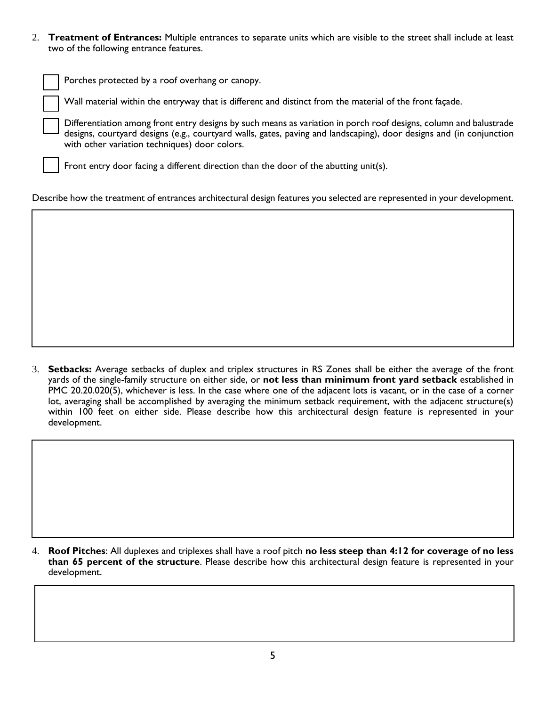2. **Treatment of Entrances:** Multiple entrances to separate units which are visible to the street shall include at least two of the following entrance features.

Porches protected by a roof overhang or canopy.

Wall material within the entryway that is different and distinct from the material of the front façade.

Differentiation among front entry designs by such means as variation in porch roof designs, column and balustrade designs, courtyard designs (e.g., courtyard walls, gates, paving and landscaping), door designs and (in conjunction with other variation techniques) door colors.

Front entry door facing a different direction than the door of the abutting unit(s).

Describe how the treatment of entrances architectural design features you selected are represented in your development.

3. **Setbacks:** Average setbacks of duplex and triplex structures in RS Zones shall be either the average of the front yards of the single-family structure on either side, or **not less than minimum front yard setback** established in PMC 20.20.020(5), whichever is less. In the case where one of the adjacent lots is vacant, or in the case of a corner lot, averaging shall be accomplished by averaging the minimum setback requirement, with the adjacent structure(s) within 100 feet on either side. Please describe how this architectural design feature is represented in your development.

4. **Roof Pitches**: All duplexes and triplexes shall have a roof pitch **no less steep than 4:12 for coverage of no less than 65 percent of the structure**. Please describe how this architectural design feature is represented in your development.